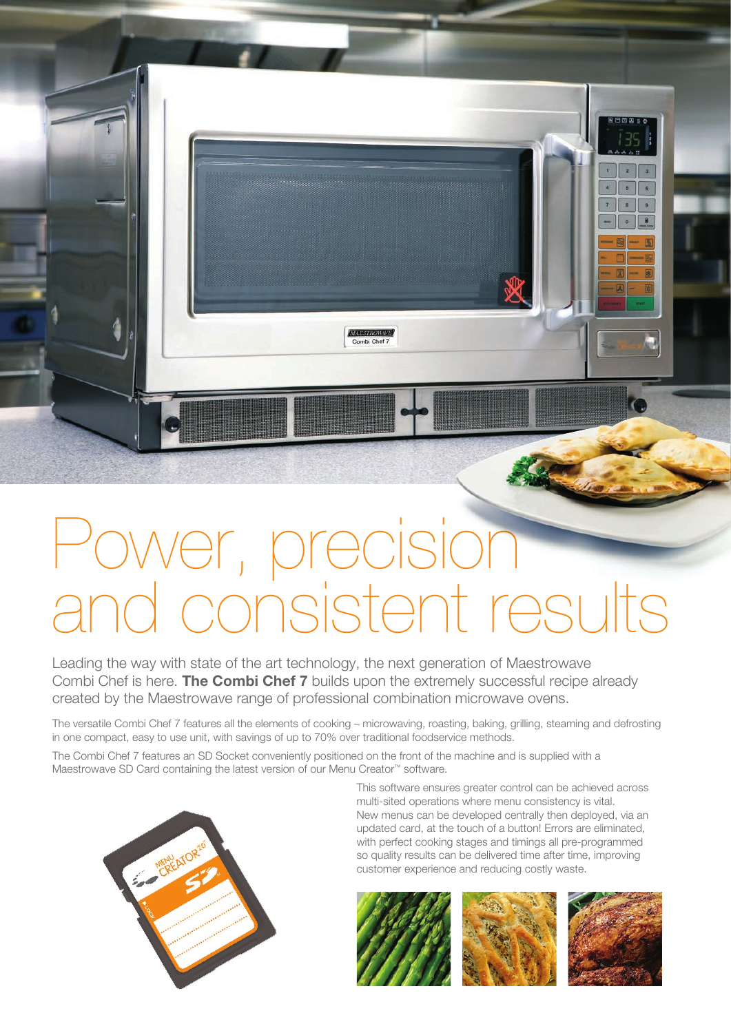## 'er, precisio stent resu

**MAESTROWAVE** 

Leading the way with state of the art technology, the next generation of Maestrowave Combi Chef is here. **The Combi Chef 7** builds upon the extremely successful recipe already created by the Maestrowave range of professional combination microwave ovens.

The versatile Combi Chef 7 features all the elements of cooking – microwaving, roasting, baking, grilling, steaming and defrosting in one compact, easy to use unit, with savings of up to 70% over traditional foodservice methods.

The Combi Chef 7 features an SD Socket conveniently positioned on the front of the machine and is supplied with a Maestrowave SD Card containing the latest version of our Menu Creator™ software.



This software ensures greater control can be achieved across multi-sited operations where menu consistency is vital. New menus can be developed centrally then deployed, via an updated card, at the touch of a button! Errors are eliminated, with perfect cooking stages and timings all pre-programmed so quality results can be delivered time after time, improving customer experience and reducing costly waste.

 $\tilde{g}$ 

団